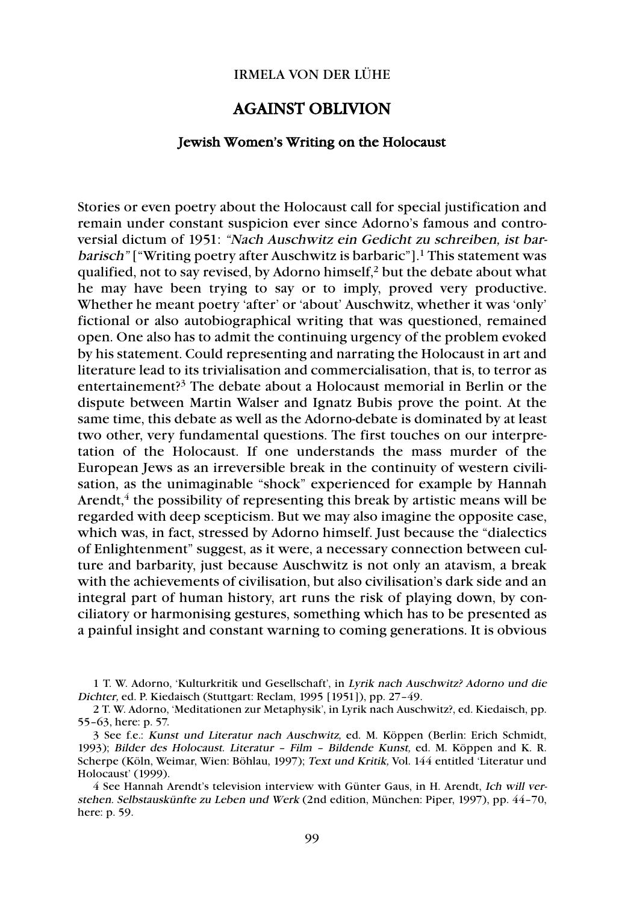## IRMELA VON DER LÜHE

## AGAINST OBLIVION

## Jewish Women's Writing on the Holocaust

Stories or even poetry about the Holocaust call for special justification and remain under constant suspicion ever since Adorno's famous and controversial dictum of 1951: "Nach Auschwitz ein Gedicht zu schreiben, ist bar*barisch*" ["Writing poetry after Auschwitz is barbaric"].<sup>1</sup> This statement was qualified, not to say revised, by Adorno himself,2 but the debate about what he may have been trying to say or to imply, proved very productive. Whether he meant poetry 'after' or 'about' Auschwitz, whether it was 'only' fictional or also autobiographical writing that was questioned, remained open. One also has to admit the continuing urgency of the problem evoked by his statement. Could representing and narrating the Holocaust in art and literature lead to its trivialisation and commercialisation, that is, to terror as entertainement?3 The debate about a Holocaust memorial in Berlin or the dispute between Martin Walser and Ignatz Bubis prove the point. At the same time, this debate as well as the Adorno-debate is dominated by at least two other, very fundamental questions. The first touches on our interpretation of the Holocaust. If one understands the mass murder of the European Jews as an irreversible break in the continuity of western civilisation, as the unimaginable "shock" experienced for example by Hannah Arendt, $4$  the possibility of representing this break by artistic means will be regarded with deep scepticism. But we may also imagine the opposite case, which was, in fact, stressed by Adorno himself. Just because the "dialectics" of Enlightenment" suggest, as it were, a necessary connection between culture and barbarity, just because Auschwitz is not only an atavism, a break with the achievements of civilisation, but also civilisation's dark side and an integral part of human history, art runs the risk of playing down, by conciliatory or harmonising gestures, something which has to be presented as a painful insight and constant warning to coming generations. It is obvious

1 T. W. Adorno, 'Kulturkritik und Gesellschaft', in Lyrik nach Auschwitz? Adorno und die Dichter, ed. P. Kiedaisch (Stuttgart: Reclam, 1995 [1951]), pp. 27–49.

4 See Hannah Arendt's television interview with Günter Gaus, in H. Arendt, Ich will verstehen. Selbstauskünfte zu Leben und Werk (2nd edition, München: Piper, 1997), pp. 44–70, here: p. 59.

<sup>2</sup> T. W. Adorno, 'Meditationen zur Metaphysik', in Lyrik nach Auschwitz?, ed. Kiedaisch, pp. 55–63, here: p. 57.

<sup>3</sup> See f.e.: Kunst und Literatur nach Auschwitz, ed. M. Köppen (Berlin: Erich Schmidt, 1993); Bilder des Holocaust. Literatur – Film – Bildende Kunst, ed. M. Köppen and K. R. Scherpe (Köln, Weimar, Wien: Böhlau, 1997); Text und Kritik, Vol. 144 entitled 'Literatur und Holocaust' (1999).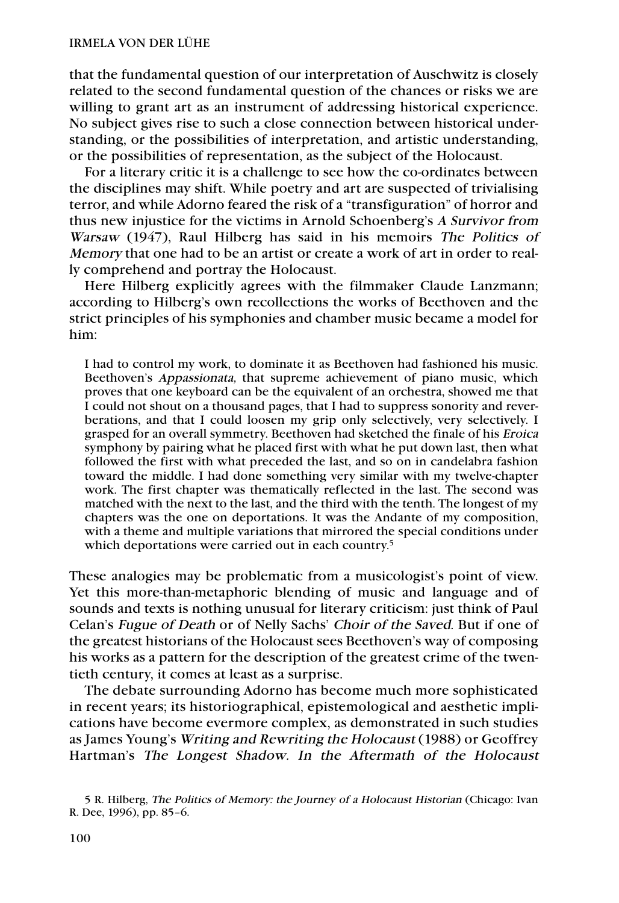that the fundamental question of our interpretation of Auschwitz is closely related to the second fundamental question of the chances or risks we are willing to grant art as an instrument of addressing historical experience. No subject gives rise to such a close connection between historical understanding, or the possibilities of interpretation, and artistic understanding, or the possibilities of representation, as the subject of the Holocaust.

For a literary critic it is a challenge to see how the co-ordinates between the disciplines may shift. While poetry and art are suspected of trivialising terror, and while Adorno feared the risk of a "transfiguration" of horror and thus new injustice for the victims in Arnold Schoenberg's A Survivor from Warsaw (1947), Raul Hilberg has said in his memoirs The Politics of Memory that one had to be an artist or create a work of art in order to really comprehend and portray the Holocaust.

Here Hilberg explicitly agrees with the filmmaker Claude Lanzmann; according to Hilberg's own recollections the works of Beethoven and the strict principles of his symphonies and chamber music became a model for him:

I had to control my work, to dominate it as Beethoven had fashioned his music. Beethoven's Appassionata, that supreme achievement of piano music, which proves that one keyboard can be the equivalent of an orchestra, showed me that I could not shout on a thousand pages, that I had to suppress sonority and reverberations, and that I could loosen my grip only selectively, very selectively. I grasped for an overall symmetry. Beethoven had sketched the finale of his Eroica symphony by pairing what he placed first with what he put down last, then what followed the first with what preceded the last, and so on in candelabra fashion toward the middle. I had done something very similar with my twelve-chapter work. The first chapter was thematically reflected in the last. The second was matched with the next to the last, and the third with the tenth. The longest of my chapters was the one on deportations. It was the Andante of my composition, with a theme and multiple variations that mirrored the special conditions under which deportations were carried out in each country.<sup>5</sup>

These analogies may be problematic from a musicologist's point of view. Yet this more-than-metaphoric blending of music and language and of sounds and texts is nothing unusual for literary criticism: just think of Paul Celan's Fugue of Death or of Nelly Sachs' Choir of the Saved. But if one of the greatest historians of the Holocaust sees Beethoven's way of composing his works as a pattern for the description of the greatest crime of the twentieth century, it comes at least as a surprise.

The debate surrounding Adorno has become much more sophisticated in recent years; its historiographical, epistemological and aesthetic implications have become evermore complex, as demonstrated in such studies as James Young's Writing and Rewriting the Holocaust (1988) or Geoffrey Hartman's The Longest Shadow. In the Aftermath of the Holocaust

<sup>5</sup> R. Hilberg, The Politics of Memory: the Journey of a Holocaust Historian (Chicago: Ivan R. Dee, 1996), pp. 85–6.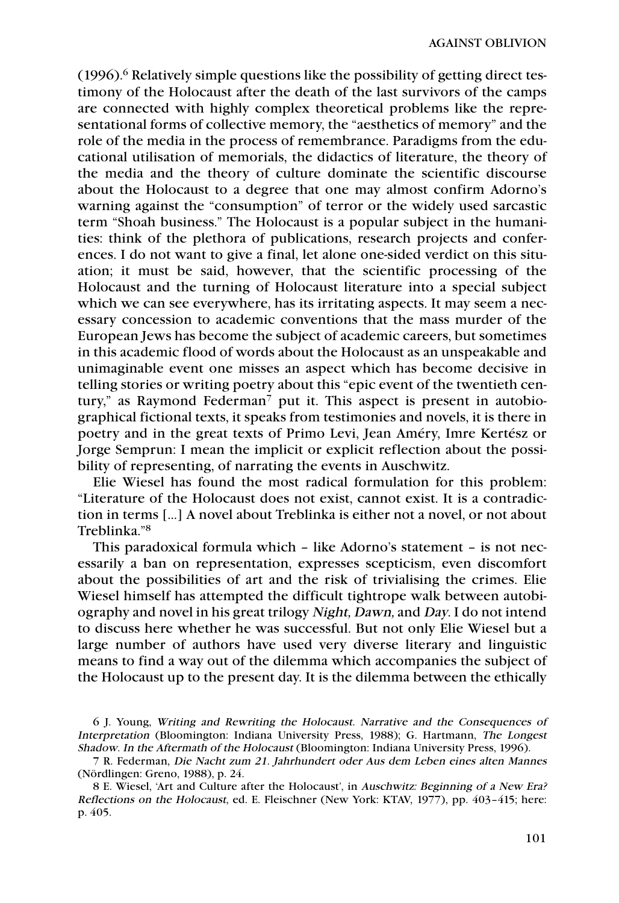$(1996)$ .<sup>6</sup> Relatively simple questions like the possibility of getting direct testimony of the Holocaust after the death of the last survivors of the camps are connected with highly complex theoretical problems like the representational forms of collective memory, the "aesthetics of memory" and the role of the media in the process of remembrance. Paradigms from the educational utilisation of memorials, the didactics of literature, the theory of the media and the theory of culture dominate the scientific discourse about the Holocaust to a degree that one may almost confirm Adorno's warning against the "consumption" of terror or the widely used sarcastic term "Shoah business." The Holocaust is a popular subject in the humanities: think of the plethora of publications, research projects and conferences. I do not want to give a final, let alone one-sided verdict on this situation; it must be said, however, that the scientific processing of the Holocaust and the turning of Holocaust literature into a special subject which we can see everywhere, has its irritating aspects. It may seem a necessary concession to academic conventions that the mass murder of the European Jews has become the subject of academic careers, but sometimes in this academic flood of words about the Holocaust as an unspeakable and unimaginable event one misses an aspect which has become decisive in telling stories or writing poetry about this "epic event of the twentieth century," as Raymond Federman<sup>7</sup> put it. This aspect is present in autobiographical fictional texts, it speaks from testimonies and novels, it is there in poetry and in the great texts of Primo Levi, Jean Améry, Imre Kertész or Jorge Semprun: I mean the implicit or explicit reflection about the possibility of representing, of narrating the events in Auschwitz.

Elie Wiesel has found the most radical formulation for this problem: "Literature of the Holocaust does not exist, cannot exist. It is a contradiction in terms [...] A novel about Treblinka is either not a novel, or not about Treblinka."8

This paradoxical formula which – like Adorno's statement – is not necessarily a ban on representation, expresses scepticism, even discomfort about the possibilities of art and the risk of trivialising the crimes. Elie Wiesel himself has attempted the difficult tightrope walk between autobiography and novel in his great trilogy Night, Dawn, and Day. I do not intend to discuss here whether he was successful. But not only Elie Wiesel but a large number of authors have used very diverse literary and linguistic means to find a way out of the dilemma which accompanies the subject of the Holocaust up to the present day. It is the dilemma between the ethically

<sup>6</sup> J. Young, Writing and Rewriting the Holocaust. Narrative and the Consequences of Interpretation (Bloomington: Indiana University Press, 1988); G. Hartmann, The Longest Shadow. In the Aftermath of the Holocaust (Bloomington: Indiana University Press, 1996).

<sup>7</sup> R. Federman, Die Nacht zum 21. Jahrhundert oder Aus dem Leben eines alten Mannes (Nördlingen: Greno, 1988), p. 24.

<sup>8</sup> E. Wiesel, 'Art and Culture after the Holocaust', in Auschwitz: Beginning of a New Era? Reflections on the Holocaust, ed. E. Fleischner (New York: KTAV, 1977), pp. 403–415; here: p. 405.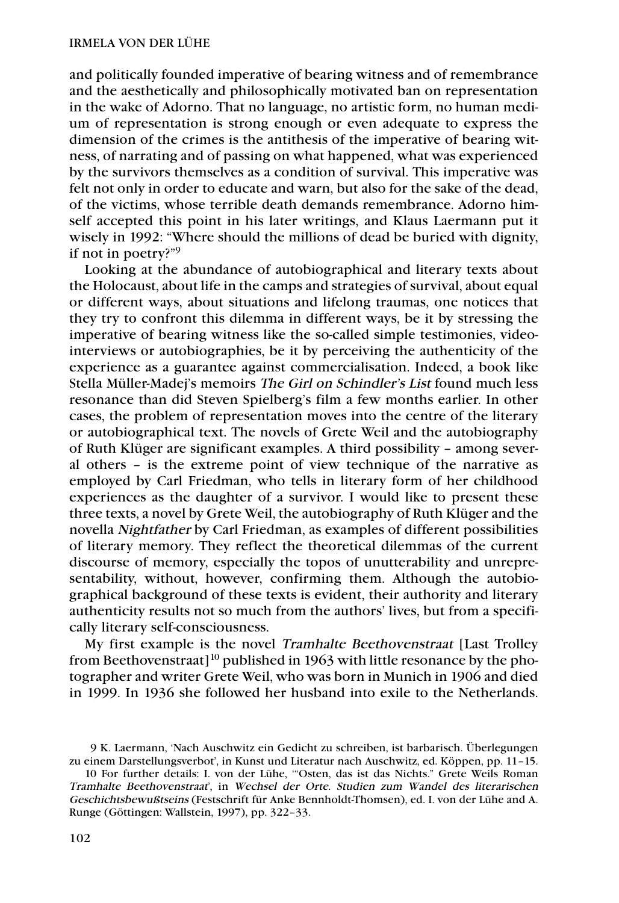and politically founded imperative of bearing witness and of remembrance and the aesthetically and philosophically motivated ban on representation in the wake of Adorno. That no language, no artistic form, no human medium of representation is strong enough or even adequate to express the dimension of the crimes is the antithesis of the imperative of bearing witness, of narrating and of passing on what happened, what was experienced by the survivors themselves as a condition of survival. This imperative was felt not only in order to educate and warn, but also for the sake of the dead, of the victims, whose terrible death demands remembrance. Adorno himself accepted this point in his later writings, and Klaus Laermann put it wisely in 1992: "Where should the millions of dead be buried with dignity, if not in poetry?"9

Looking at the abundance of autobiographical and literary texts about the Holocaust, about life in the camps and strategies of survival, about equal or different ways, about situations and lifelong traumas, one notices that they try to confront this dilemma in different ways, be it by stressing the imperative of bearing witness like the so-called simple testimonies, videointerviews or autobiographies, be it by perceiving the authenticity of the experience as a guarantee against commercialisation. Indeed, a book like Stella Müller-Madej's memoirs The Girl on Schindler's List found much less resonance than did Steven Spielberg's film a few months earlier. In other cases, the problem of representation moves into the centre of the literary or autobiographical text. The novels of Grete Weil and the autobiography of Ruth Klüger are significant examples. A third possibility – among several others – is the extreme point of view technique of the narrative as employed by Carl Friedman, who tells in literary form of her childhood experiences as the daughter of a survivor. I would like to present these three texts, a novel by Grete Weil, the autobiography of Ruth Klüger and the novella Nightfather by Carl Friedman, as examples of different possibilities of literary memory. They reflect the theoretical dilemmas of the current discourse of memory, especially the topos of unutterability and unrepresentability, without, however, confirming them. Although the autobiographical background of these texts is evident, their authority and literary authenticity results not so much from the authors' lives, but from a specifically literary self-consciousness.

My first example is the novel Tramhalte Beethovenstraat [Last Trolley from Beethovenstraat]<sup>10</sup> published in 1963 with little resonance by the photographer and writer Grete Weil, who was born in Munich in 1906 and died in 1999. In 1936 she followed her husband into exile to the Netherlands.

<sup>9</sup> K. Laermann, 'Nach Auschwitz ein Gedicht zu schreiben, ist barbarisch. Überlegungen zu einem Darstellungsverbot', in Kunst und Literatur nach Auschwitz, ed. Köppen, pp. 11–15.

<sup>10</sup> For further details: I. von der Lühe, '"Osten, das ist das Nichts." Grete Weils Roman Tramhalte Beethovenstraat', in Wechsel der Orte. Studien zum Wandel des literarischen Geschichtsbewußtseins (Festschrift für Anke Bennholdt-Thomsen), ed. I. von der Lühe and A. Runge (Göttingen: Wallstein, 1997), pp. 322–33.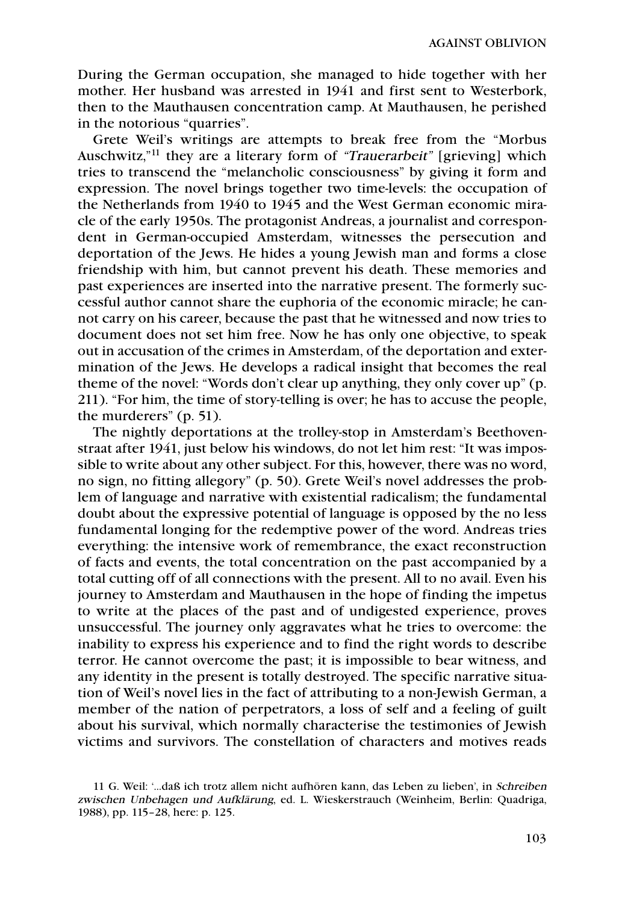During the German occupation, she managed to hide together with her mother. Her husband was arrested in 1941 and first sent to Westerbork, then to the Mauthausen concentration camp. At Mauthausen, he perished in the notorious "quarries".

Grete Weil's writings are attempts to break free from the "Morbus Auschwitz,"<sup>11</sup> they are a literary form of "Trauerarbeit" [grieving] which tries to transcend the "melancholic consciousness" by giving it form and expression. The novel brings together two time-levels: the occupation of the Netherlands from 1940 to 1945 and the West German economic miracle of the early 1950s. The protagonist Andreas, a journalist and correspondent in German-occupied Amsterdam, witnesses the persecution and deportation of the Jews. He hides a young Jewish man and forms a close friendship with him, but cannot prevent his death. These memories and past experiences are inserted into the narrative present. The formerly successful author cannot share the euphoria of the economic miracle; he cannot carry on his career, because the past that he witnessed and now tries to document does not set him free. Now he has only one objective, to speak out in accusation of the crimes in Amsterdam, of the deportation and extermination of the Jews. He develops a radical insight that becomes the real theme of the novel: "Words don't clear up anything, they only cover up" (p. 211). "For him, the time of story-telling is over; he has to accuse the people, the murderers" (p. 51).

The nightly deportations at the trolley-stop in Amsterdam's Beethovenstraat after 1941, just below his windows, do not let him rest: "It was impossible to write about any other subject. For this, however, there was no word, no sign, no fitting allegory" (p. 50). Grete Weil's novel addresses the problem of language and narrative with existential radicalism; the fundamental doubt about the expressive potential of language is opposed by the no less fundamental longing for the redemptive power of the word. Andreas tries everything: the intensive work of remembrance, the exact reconstruction of facts and events, the total concentration on the past accompanied by a total cutting off of all connections with the present. All to no avail. Even his journey to Amsterdam and Mauthausen in the hope of finding the impetus to write at the places of the past and of undigested experience, proves unsuccessful. The journey only aggravates what he tries to overcome: the inability to express his experience and to find the right words to describe terror. He cannot overcome the past; it is impossible to bear witness, and any identity in the present is totally destroyed. The specific narrative situation of Weil's novel lies in the fact of attributing to a non-Jewish German, a member of the nation of perpetrators, a loss of self and a feeling of guilt about his survival, which normally characterise the testimonies of Jewish victims and survivors. The constellation of characters and motives reads

<sup>11</sup> G. Weil: '…daß ich trotz allem nicht aufhören kann, das Leben zu lieben', in Schreiben zwischen Unbehagen und Aufklärung, ed. L. Wieskerstrauch (Weinheim, Berlin: Quadriga, 1988), pp. 115–28, here: p. 125.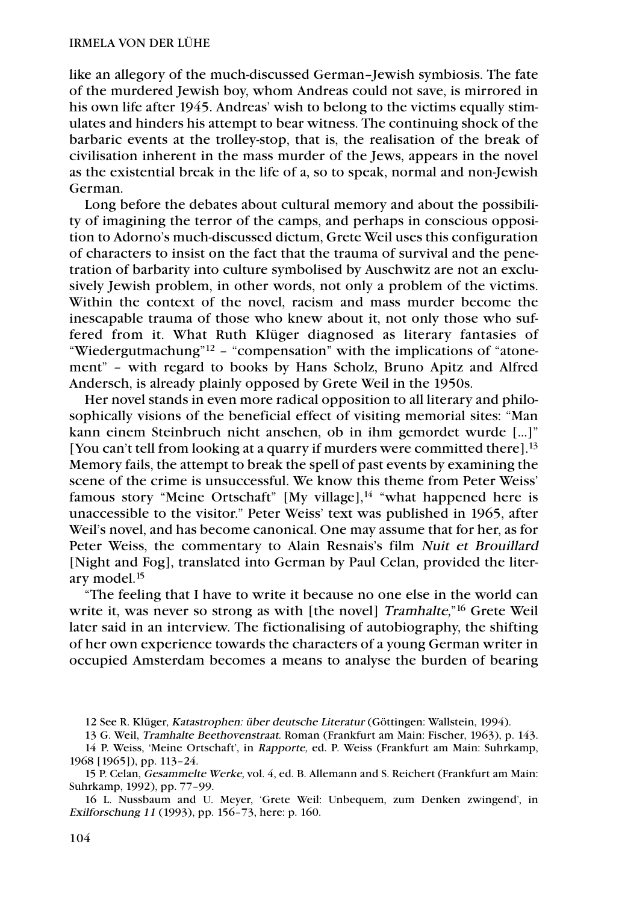like an allegory of the much-discussed German–Jewish symbiosis. The fate of the murdered Jewish boy, whom Andreas could not save, is mirrored in his own life after 1945. Andreas' wish to belong to the victims equally stimulates and hinders his attempt to bear witness. The continuing shock of the barbaric events at the trolley-stop, that is, the realisation of the break of civilisation inherent in the mass murder of the Jews, appears in the novel as the existential break in the life of a, so to speak, normal and non-Jewish German.

Long before the debates about cultural memory and about the possibility of imagining the terror of the camps, and perhaps in conscious opposition to Adorno's much-discussed dictum, Grete Weil uses this configuration of characters to insist on the fact that the trauma of survival and the penetration of barbarity into culture symbolised by Auschwitz are not an exclusively Jewish problem, in other words, not only a problem of the victims. Within the context of the novel, racism and mass murder become the inescapable trauma of those who knew about it, not only those who suffered from it. What Ruth Klüger diagnosed as literary fantasies of "Wiedergutmachung"12 – "compensation" with the implications of "atonement" – with regard to books by Hans Scholz, Bruno Apitz and Alfred Andersch, is already plainly opposed by Grete Weil in the 1950s.

Her novel stands in even more radical opposition to all literary and philosophically visions of the beneficial effect of visiting memorial sites: "Man kann einem Steinbruch nicht ansehen, ob in ihm gemordet wurde […]" [You can't tell from looking at a quarry if murders were committed there].<sup>13</sup> Memory fails, the attempt to break the spell of past events by examining the scene of the crime is unsuccessful. We know this theme from Peter Weiss' famous story "Meine Ortschaft" [My village], $^{14}$  "what happened here is unaccessible to the visitor." Peter Weiss' text was published in 1965, after Weil's novel, and has become canonical. One may assume that for her, as for Peter Weiss, the commentary to Alain Resnais's film Nuit et Brouillard [Night and Fog], translated into German by Paul Celan, provided the literary model.15

"The feeling that I have to write it because no one else in the world can write it, was never so strong as with [the novel] Tramhalte,"<sup>16</sup> Grete Weil later said in an interview. The fictionalising of autobiography, the shifting of her own experience towards the characters of a young German writer in occupied Amsterdam becomes a means to analyse the burden of bearing

<sup>12</sup> See R. Klüger, Katastrophen: über deutsche Literatur (Göttingen: Wallstein, 1994).

<sup>13</sup> G. Weil, Tramhalte Beethovenstraat. Roman (Frankfurt am Main: Fischer, 1963), p. 143.

<sup>14</sup> P. Weiss, 'Meine Ortschaft', in Rapporte, ed. P. Weiss (Frankfurt am Main: Suhrkamp, 1968 [1965]), pp. 113–24.

<sup>15</sup> P. Celan, Gesammelte Werke, vol. 4, ed. B. Allemann and S. Reichert (Frankfurt am Main: Suhrkamp, 1992), pp. 77–99.

<sup>16</sup> L. Nussbaum and U. Meyer, 'Grete Weil: Unbequem, zum Denken zwingend', in Exilforschung 11 (1993), pp. 156–73, here: p. 160.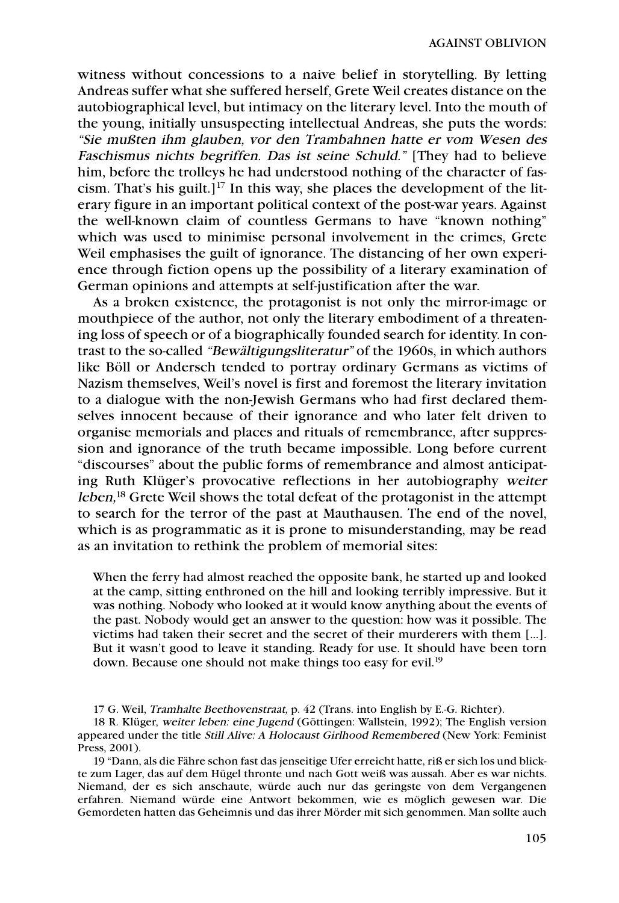witness without concessions to a naive belief in storytelling. By letting Andreas suffer what she suffered herself, Grete Weil creates distance on the autobiographical level, but intimacy on the literary level. Into the mouth of the young, initially unsuspecting intellectual Andreas, she puts the words: "Sie mußten ihm glauben, vor den Trambahnen hatte er vom Wesen des Faschismus nichts begriffen. Das ist seine Schuld." [They had to believe him, before the trolleys he had understood nothing of the character of fascism. That's his guilt.]<sup>17</sup> In this way, she places the development of the literary figure in an important political context of the post-war years. Against the well-known claim of countless Germans to have "known nothing" which was used to minimise personal involvement in the crimes, Grete Weil emphasises the guilt of ignorance. The distancing of her own experience through fiction opens up the possibility of a literary examination of German opinions and attempts at self-justification after the war.

As a broken existence, the protagonist is not only the mirror-image or mouthpiece of the author, not only the literary embodiment of a threatening loss of speech or of a biographically founded search for identity. In contrast to the so-called "Bewältigungsliteratur" of the 1960s, in which authors like Böll or Andersch tended to portray ordinary Germans as victims of Nazism themselves, Weil's novel is first and foremost the literary invitation to a dialogue with the non-Jewish Germans who had first declared themselves innocent because of their ignorance and who later felt driven to organise memorials and places and rituals of remembrance, after suppression and ignorance of the truth became impossible. Long before current "discourses" about the public forms of remembrance and almost anticipating Ruth Klüger's provocative reflections in her autobiography weiter leben,<sup>18</sup> Grete Weil shows the total defeat of the protagonist in the attempt to search for the terror of the past at Mauthausen. The end of the novel, which is as programmatic as it is prone to misunderstanding, may be read as an invitation to rethink the problem of memorial sites:

When the ferry had almost reached the opposite bank, he started up and looked at the camp, sitting enthroned on the hill and looking terribly impressive. But it was nothing. Nobody who looked at it would know anything about the events of the past. Nobody would get an answer to the question: how was it possible. The victims had taken their secret and the secret of their murderers with them […]. But it wasn't good to leave it standing. Ready for use. It should have been torn down. Because one should not make things too easy for evil.<sup>19</sup>

17 G. Weil, Tramhalte Beethovenstraat, p. 42 (Trans. into English by E.-G. Richter).

18 R. Klüger, weiter leben: eine Jugend (Göttingen: Wallstein, 1992); The English version appeared under the title Still Alive: A Holocaust Girlhood Remembered (New York: Feminist Press, 2001).

19 "Dann, als die Fähre schon fast das jenseitige Ufer erreicht hatte, riß er sich los und blickte zum Lager, das auf dem Hügel thronte und nach Gott weiß was aussah. Aber es war nichts. Niemand, der es sich anschaute, würde auch nur das geringste von dem Vergangenen erfahren. Niemand würde eine Antwort bekommen, wie es möglich gewesen war. Die Gemordeten hatten das Geheimnis und das ihrer Mörder mit sich genommen. Man sollte auch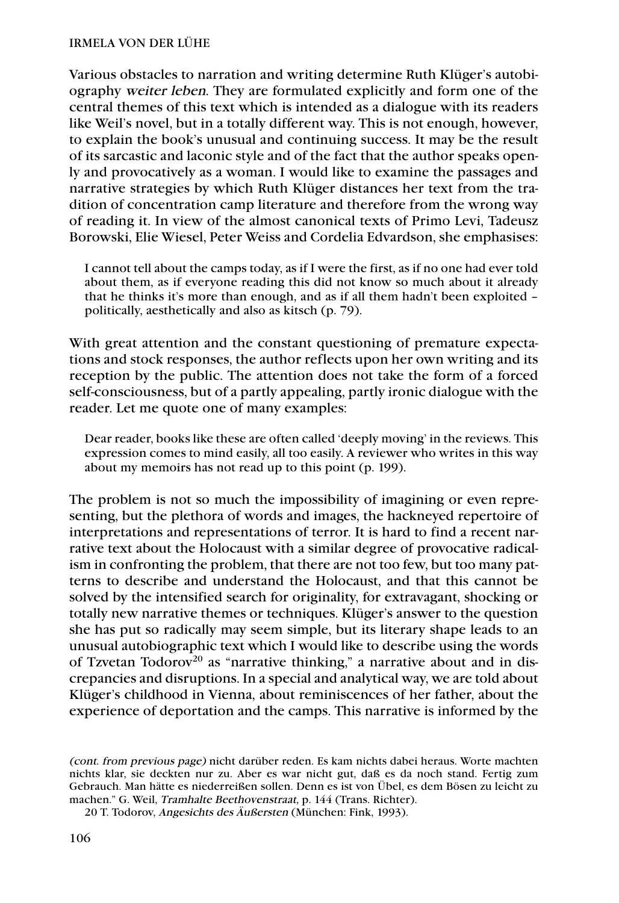Various obstacles to narration and writing determine Ruth Klüger's autobiography weiter leben. They are formulated explicitly and form one of the central themes of this text which is intended as a dialogue with its readers like Weil's novel, but in a totally different way. This is not enough, however, to explain the book's unusual and continuing success. It may be the result of its sarcastic and laconic style and of the fact that the author speaks openly and provocatively as a woman. I would like to examine the passages and narrative strategies by which Ruth Klüger distances her text from the tradition of concentration camp literature and therefore from the wrong way of reading it. In view of the almost canonical texts of Primo Levi, Tadeusz Borowski, Elie Wiesel, Peter Weiss and Cordelia Edvardson, she emphasises:

I cannot tell about the camps today, as if I were the first, as if no one had ever told about them, as if everyone reading this did not know so much about it already that he thinks it's more than enough, and as if all them hadn't been exploited – politically, aesthetically and also as kitsch (p. 79).

With great attention and the constant questioning of premature expectations and stock responses, the author reflects upon her own writing and its reception by the public. The attention does not take the form of a forced self-consciousness, but of a partly appealing, partly ironic dialogue with the reader. Let me quote one of many examples:

Dear reader, books like these are often called 'deeply moving' in the reviews. This expression comes to mind easily, all too easily. A reviewer who writes in this way about my memoirs has not read up to this point (p. 199).

The problem is not so much the impossibility of imagining or even representing, but the plethora of words and images, the hackneyed repertoire of interpretations and representations of terror. It is hard to find a recent narrative text about the Holocaust with a similar degree of provocative radicalism in confronting the problem, that there are not too few, but too many patterns to describe and understand the Holocaust, and that this cannot be solved by the intensified search for originality, for extravagant, shocking or totally new narrative themes or techniques. Klüger's answer to the question she has put so radically may seem simple, but its literary shape leads to an unusual autobiographic text which I would like to describe using the words of Tzvetan Todorov<sup>20</sup> as "narrative thinking," a narrative about and in discrepancies and disruptions. In a special and analytical way, we are told about Klüger's childhood in Vienna, about reminiscences of her father, about the experience of deportation and the camps. This narrative is informed by the

<sup>(</sup>cont. from previous page) nicht darüber reden. Es kam nichts dabei heraus. Worte machten nichts klar, sie deckten nur zu. Aber es war nicht gut, daß es da noch stand. Fertig zum Gebrauch. Man hätte es niederreißen sollen. Denn es ist von Übel, es dem Bösen zu leicht zu machen." G. Weil, Tramhalte Beethovenstraat, p. 144 (Trans. Richter).

<sup>20</sup> T. Todorov, Angesichts des Äußersten (München: Fink, 1993).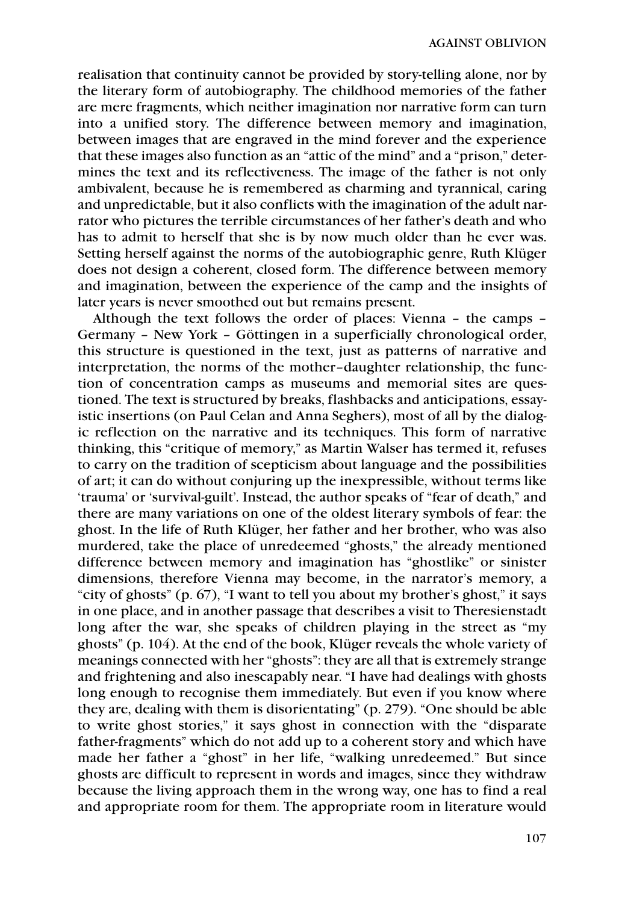realisation that continuity cannot be provided by story-telling alone, nor by the literary form of autobiography. The childhood memories of the father are mere fragments, which neither imagination nor narrative form can turn into a unified story. The difference between memory and imagination, between images that are engraved in the mind forever and the experience that these images also function as an "attic of the mind" and a "prison," determines the text and its reflectiveness. The image of the father is not only ambivalent, because he is remembered as charming and tyrannical, caring and unpredictable, but it also conflicts with the imagination of the adult narrator who pictures the terrible circumstances of her father's death and who has to admit to herself that she is by now much older than he ever was. Setting herself against the norms of the autobiographic genre, Ruth Klüger does not design a coherent, closed form. The difference between memory and imagination, between the experience of the camp and the insights of later years is never smoothed out but remains present.

Although the text follows the order of places: Vienna – the camps – Germany – New York – Göttingen in a superficially chronological order, this structure is questioned in the text, just as patterns of narrative and interpretation, the norms of the mother–daughter relationship, the function of concentration camps as museums and memorial sites are questioned. The text is structured by breaks, flashbacks and anticipations, essayistic insertions (on Paul Celan and Anna Seghers), most of all by the dialogic reflection on the narrative and its techniques. This form of narrative thinking, this "critique of memory," as Martin Walser has termed it, refuses to carry on the tradition of scepticism about language and the possibilities of art; it can do without conjuring up the inexpressible, without terms like 'trauma' or 'survival-guilt'. Instead, the author speaks of "fear of death," and there are many variations on one of the oldest literary symbols of fear: the ghost. In the life of Ruth Klüger, her father and her brother, who was also murdered, take the place of unredeemed "ghosts," the already mentioned difference between memory and imagination has "ghostlike" or sinister dimensions, therefore Vienna may become, in the narrator's memory, a "city of ghosts" (p. 67), "I want to tell you about my brother's ghost," it says in one place, and in another passage that describes a visit to Theresienstadt long after the war, she speaks of children playing in the street as "my ghosts" (p. 104). At the end of the book, Klüger reveals the whole variety of meanings connected with her "ghosts": they are all that is extremely strange and frightening and also inescapably near. "I have had dealings with ghosts long enough to recognise them immediately. But even if you know where they are, dealing with them is disorientating" (p. 279). "One should be able to write ghost stories," it says ghost in connection with the "disparate father-fragments" which do not add up to a coherent story and which have made her father a "ghost" in her life, "walking unredeemed." But since ghosts are difficult to represent in words and images, since they withdraw because the living approach them in the wrong way, one has to find a real and appropriate room for them. The appropriate room in literature would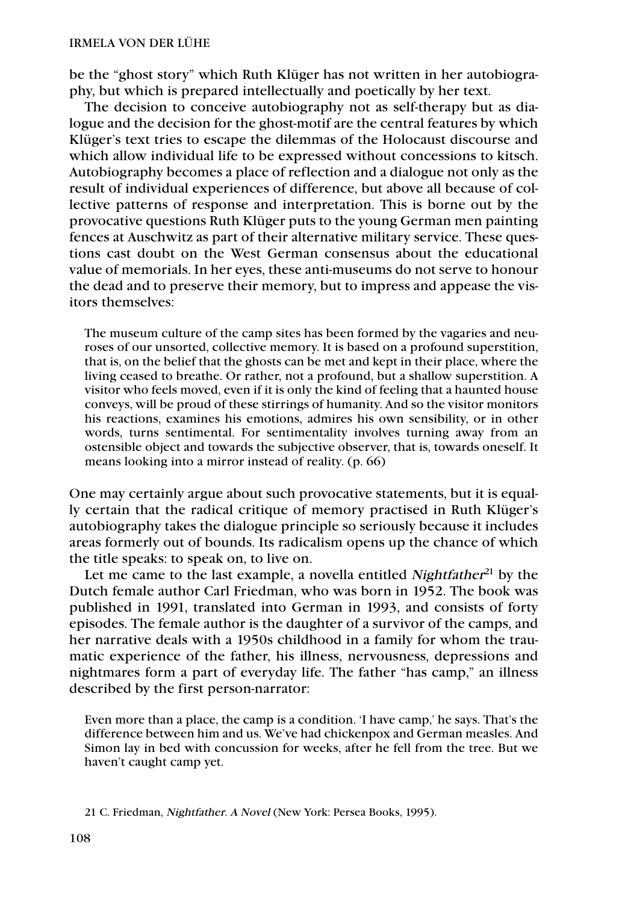be the "ghost story" which Ruth Klüger has not written in her autobiography, but which is prepared intellectually and poetically by her text.

The decision to conceive autobiography not as self-therapy but as dialogue and the decision for the ghost-motif are the central features by which Klüger's text tries to escape the dilemmas of the Holocaust discourse and which allow individual life to be expressed without concessions to kitsch. Autobiography becomes a place of reflection and a dialogue not only as the result of individual experiences of difference, but above all because of collective patterns of response and interpretation. This is borne out by the provocative questions Ruth Klüger puts to the young German men painting fences at Auschwitz as part of their alternative military service. These questions cast doubt on the West German consensus about the educational value of memorials. In her eyes, these anti-museums do not serve to honour the dead and to preserve their memory, but to impress and appease the visitors themselves:

The museum culture of the camp sites has been formed by the vagaries and neuroses of our unsorted, collective memory. It is based on a profound superstition, that is, on the belief that the ghosts can be met and kept in their place, where the living ceased to breathe. Or rather, not a profound, but a shallow superstition. A visitor who feels moved, even if it is only the kind of feeling that a haunted house conveys, will be proud of these stirrings of humanity. And so the visitor monitors his reactions, examines his emotions, admires his own sensibility, or in other words, turns sentimental. For sentimentality involves turning away from an ostensible object and towards the subjective observer, that is, towards oneself. It means looking into a mirror instead of reality. (p. 66)

One may certainly argue about such provocative statements, but it is equally certain that the radical critique of memory practised in Ruth Klüger's autobiography takes the dialogue principle so seriously because it includes areas formerly out of bounds. Its radicalism opens up the chance of which the title speaks: to speak on, to live on.

Let me came to the last example, a novella entitled Nightfather $21$  by the Dutch female author Carl Friedman, who was born in 1952. The book was published in 1991, translated into German in 1993, and consists of forty episodes. The female author is the daughter of a survivor of the camps, and her narrative deals with a 1950s childhood in a family for whom the traumatic experience of the father, his illness, nervousness, depressions and nightmares form a part of everyday life. The father "has camp," an illness described by the first person-narrator:

Even more than a place, the camp is a condition. 'I have camp,' he says. That's the difference between him and us. We've had chickenpox and German measles. And Simon lay in bed with concussion for weeks, after he fell from the tree. But we haven't caught camp yet.

<sup>21</sup> C. Friedman, Nightfather. A Novel (New York: Persea Books, 1995).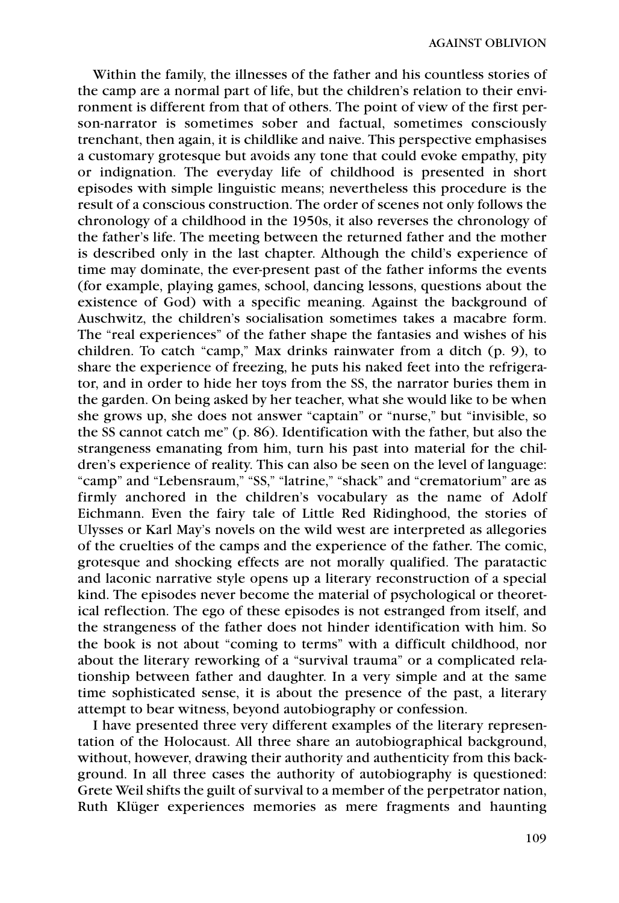Within the family, the illnesses of the father and his countless stories of the camp are a normal part of life, but the children's relation to their environment is different from that of others. The point of view of the first person-narrator is sometimes sober and factual, sometimes consciously trenchant, then again, it is childlike and naive. This perspective emphasises a customary grotesque but avoids any tone that could evoke empathy, pity or indignation. The everyday life of childhood is presented in short episodes with simple linguistic means; nevertheless this procedure is the result of a conscious construction. The order of scenes not only follows the chronology of a childhood in the 1950s, it also reverses the chronology of the father's life. The meeting between the returned father and the mother is described only in the last chapter. Although the child's experience of time may dominate, the ever-present past of the father informs the events (for example, playing games, school, dancing lessons, questions about the existence of God) with a specific meaning. Against the background of Auschwitz, the children's socialisation sometimes takes a macabre form. The "real experiences" of the father shape the fantasies and wishes of his children. To catch "camp," Max drinks rainwater from a ditch (p. 9), to share the experience of freezing, he puts his naked feet into the refrigerator, and in order to hide her toys from the SS, the narrator buries them in the garden. On being asked by her teacher, what she would like to be when she grows up, she does not answer "captain" or "nurse," but "invisible, so the SS cannot catch me" (p. 86). Identification with the father, but also the strangeness emanating from him, turn his past into material for the children's experience of reality. This can also be seen on the level of language: "camp" and "Lebensraum," "SS," "latrine," "shack" and "crematorium" are as firmly anchored in the children's vocabulary as the name of Adolf Eichmann. Even the fairy tale of Little Red Ridinghood, the stories of Ulysses or Karl May's novels on the wild west are interpreted as allegories of the cruelties of the camps and the experience of the father. The comic, grotesque and shocking effects are not morally qualified. The paratactic and laconic narrative style opens up a literary reconstruction of a special kind. The episodes never become the material of psychological or theoretical reflection. The ego of these episodes is not estranged from itself, and the strangeness of the father does not hinder identification with him. So the book is not about "coming to terms" with a difficult childhood, nor about the literary reworking of a "survival trauma" or a complicated relationship between father and daughter. In a very simple and at the same time sophisticated sense, it is about the presence of the past, a literary attempt to bear witness, beyond autobiography or confession.

I have presented three very different examples of the literary representation of the Holocaust. All three share an autobiographical background, without, however, drawing their authority and authenticity from this background. In all three cases the authority of autobiography is questioned: Grete Weil shifts the guilt of survival to a member of the perpetrator nation, Ruth Klüger experiences memories as mere fragments and haunting